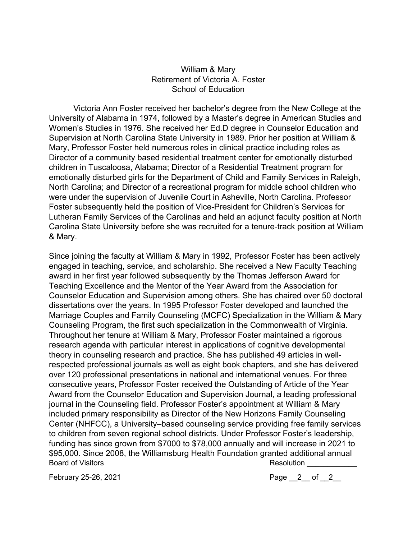## William & Mary Retirement of Victoria A. Foster School of Education

Victoria Ann Foster received her bachelor's degree from the New College at the University of Alabama in 1974, followed by a Master's degree in American Studies and Women's Studies in 1976. She received her Ed.D degree in Counselor Education and Supervision at North Carolina State University in 1989. Prior her position at William & Mary, Professor Foster held numerous roles in clinical practice including roles as Director of a community based residential treatment center for emotionally disturbed children in Tuscaloosa, Alabama; Director of a Residential Treatment program for emotionally disturbed girls for the Department of Child and Family Services in Raleigh, North Carolina; and Director of a recreational program for middle school children who were under the supervision of Juvenile Court in Asheville, North Carolina. Professor Foster subsequently held the position of Vice-President for Children's Services for Lutheran Family Services of the Carolinas and held an adjunct faculty position at North Carolina State University before she was recruited for a tenure-track position at William & Mary.

Since joining the faculty at William & Mary in 1992, Professor Foster has been actively engaged in teaching, service, and scholarship. She received a New Faculty Teaching award in her first year followed subsequently by the Thomas Jefferson Award for Teaching Excellence and the Mentor of the Year Award from the Association for Counselor Education and Supervision among others. She has chaired over 50 doctoral dissertations over the years. In 1995 Professor Foster developed and launched the Marriage Couples and Family Counseling (MCFC) Specialization in the William & Mary Counseling Program, the first such specialization in the Commonwealth of Virginia. Throughout her tenure at William & Mary, Professor Foster maintained a rigorous research agenda with particular interest in applications of cognitive developmental theory in counseling research and practice. She has published 49 articles in wellrespected professional journals as well as eight book chapters, and she has delivered over 120 professional presentations in national and international venues. For three consecutive years, Professor Foster received the Outstanding of Article of the Year Award from the Counselor Education and Supervision Journal, a leading professional journal in the Counseling field. Professor Foster's appointment at William & Mary included primary responsibility as Director of the New Horizons Family Counseling Center (NHFCC), a University–based counseling service providing free family services to children from seven regional school districts. Under Professor Foster's leadership, funding has since grown from \$7000 to \$78,000 annually and will increase in 2021 to \$95,000. Since 2008, the Williamsburg Health Foundation granted additional annual Board of Visitors **Resolution Resolution Resolution** 

February 25-26, 2021 **Page 2** of 2